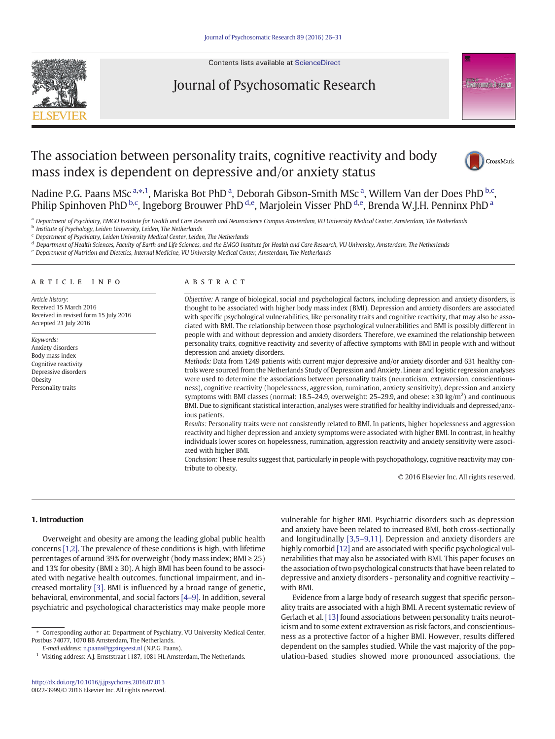

#### Contents lists available at [ScienceDirect](http://www.sciencedirect.com/science/journal/)

# Journal of Psychosomatic Research



# The association between personality traits, cognitive reactivity and body mass index is dependent on depressive and/or anxiety status



Nadine P.G. Paans MSc<sup>a,\*,1</sup>, Mariska Bot PhD<sup>a</sup>, Deborah Gibson-Smith MSc<sup>a</sup>, Willem Van der Does PhD<sup>b,c</sup>, Philip Spinhoven PhD <sup>b,c</sup>, Ingeborg Brouwer PhD <sup>d,e</sup>, Marjolein Visser PhD <sup>d,e</sup>, Brenda W.J.H. Penninx PhD <sup>a</sup>

a Department of Psychiatry, EMGO Institute for Health and Care Research and Neuroscience Campus Amsterdam, VU University Medical Center, Amsterdam, The Netherlands

**b** Institute of Psychology, Leiden University, Leiden, The Netherlands

 $c$  Department of Psychiatry, Leiden University Medical Center, Leiden, The Netherlands

<sup>d</sup> Department of Health Sciences, Faculty of Earth and Life Sciences, and the EMGO Institute for Health and Care Research, VU University, Amsterdam, The Netherlands

<sup>e</sup> Department of Nutrition and Dietetics, Internal Medicine, VU University Medical Center, Amsterdam, The Netherlands

# article info abstract

Article history: Received 15 March 2016 Received in revised form 15 July 2016 Accepted 21 July 2016

Keywords: Anxiety disorders Body mass index Cognitive reactivity Depressive disorders **Obesity** Personality traits

Objective: A range of biological, social and psychological factors, including depression and anxiety disorders, is thought to be associated with higher body mass index (BMI). Depression and anxiety disorders are associated with specific psychological vulnerabilities, like personality traits and cognitive reactivity, that may also be associated with BMI. The relationship between those psychological vulnerabilities and BMI is possibly different in people with and without depression and anxiety disorders. Therefore, we examined the relationship between personality traits, cognitive reactivity and severity of affective symptoms with BMI in people with and without depression and anxiety disorders.

Methods: Data from 1249 patients with current major depressive and/or anxiety disorder and 631 healthy controls were sourced from the Netherlands Study of Depression and Anxiety. Linear and logistic regression analyses were used to determine the associations between personality traits (neuroticism, extraversion, conscientiousness), cognitive reactivity (hopelessness, aggression, rumination, anxiety sensitivity), depression and anxiety symptoms with BMI classes (normal: 18.5–24.9, overweight: 25–29.9, and obese:  $\geq 30 \text{ kg/m}^2$ ) and continuous BMI. Due to significant statistical interaction, analyses were stratified for healthy individuals and depressed/anxious patients.

Results: Personality traits were not consistently related to BMI. In patients, higher hopelessness and aggression reactivity and higher depression and anxiety symptoms were associated with higher BMI. In contrast, in healthy individuals lower scores on hopelessness, rumination, aggression reactivity and anxiety sensitivity were associated with higher BMI.

Conclusion: These results suggest that, particularly in people with psychopathology, cognitive reactivity may contribute to obesity.

© 2016 Elsevier Inc. All rights reserved.

## 1. Introduction

Overweight and obesity are among the leading global public health concerns [\[1,2\]](#page-4-0). The prevalence of these conditions is high, with lifetime percentages of around 39% for overweight (body mass index;  $BMI \geq 25$ ) and 13% for obesity (BMI  $\geq$  30). A high BMI has been found to be associated with negative health outcomes, functional impairment, and increased mortality [\[3\]](#page-4-0). BMI is influenced by a broad range of genetic, behavioral, environmental, and social factors [\[4](#page-4-0)–9]. In addition, several psychiatric and psychological characteristics may make people more vulnerable for higher BMI. Psychiatric disorders such as depression and anxiety have been related to increased BMI, both cross-sectionally and longitudinally [3,5–[9,11\]](#page-4-0). Depression and anxiety disorders are highly comorbid [\[12\]](#page-4-0) and are associated with specific psychological vulnerabilities that may also be associated with BMI. This paper focuses on the association of two psychological constructs that have been related to depressive and anxiety disorders - personality and cognitive reactivity – with BMI.

Evidence from a large body of research suggest that specific personality traits are associated with a high BMI. A recent systematic review of Gerlach et al. [\[13\]](#page-4-0) found associations between personality traits neuroticism and to some extent extraversion as risk factors, and conscientiousness as a protective factor of a higher BMI. However, results differed dependent on the samples studied. While the vast majority of the population-based studies showed more pronounced associations, the

<sup>⁎</sup> Corresponding author at: Department of Psychiatry, VU University Medical Center, Postbus 74077, 1070 BB Amsterdam, The Netherlands.

E-mail address: [n.paans@ggzingeest.nl](mailto:n.paans@ggzingeest.nl) (N.P.G. Paans).

<sup>1</sup> Visiting address: A.J. Ernststraat 1187, 1081 HL Amsterdam, The Netherlands.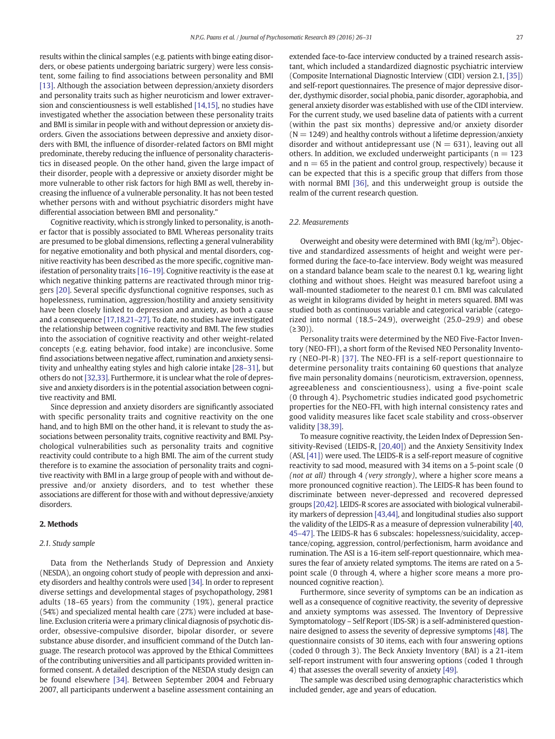results within the clinical samples (e.g. patients with binge eating disorders, or obese patients undergoing bariatric surgery) were less consistent, some failing to find associations between personality and BMI [\[13\]](#page-4-0). Although the association between depression/anxiety disorders and personality traits such as higher neuroticism and lower extraversion and conscientiousness is well established [\[14,15\],](#page-4-0) no studies have investigated whether the association between these personality traits and BMI is similar in people with and without depression or anxiety disorders. Given the associations between depressive and anxiety disorders with BMI, the influence of disorder-related factors on BMI might predominate, thereby reducing the influence of personality characteristics in diseased people. On the other hand, given the large impact of their disorder, people with a depressive or anxiety disorder might be more vulnerable to other risk factors for high BMI as well, thereby increasing the influence of a vulnerable personality. It has not been tested whether persons with and without psychiatric disorders might have differential association between BMI and personality."

Cognitive reactivity, which is strongly linked to personality, is another factor that is possibly associated to BMI. Whereas personality traits are presumed to be global dimensions, reflecting a general vulnerability for negative emotionality and both physical and mental disorders, cognitive reactivity has been described as the more specific, cognitive manifestation of personality traits [\[16](#page-4-0)–19]. Cognitive reactivity is the ease at which negative thinking patterns are reactivated through minor triggers [\[20\]](#page-5-0). Several specific dysfunctional cognitive responses, such as hopelessness, rumination, aggression/hostility and anxiety sensitivity have been closely linked to depression and anxiety, as both a cause and a consequence [\[17,18,21](#page-4-0)–27]. To date, no studies have investigated the relationship between cognitive reactivity and BMI. The few studies into the association of cognitive reactivity and other weight-related concepts (e.g. eating behavior, food intake) are inconclusive. Some find associations between negative affect, rumination and anxiety sensitivity and unhealthy eating styles and high calorie intake [28–[31\],](#page-5-0) but others do not [\[32,33\].](#page-5-0) Furthermore, it is unclear what the role of depressive and anxiety disorders is in the potential association between cognitive reactivity and BMI.

Since depression and anxiety disorders are significantly associated with specific personality traits and cognitive reactivity on the one hand, and to high BMI on the other hand, it is relevant to study the associations between personality traits, cognitive reactivity and BMI. Psychological vulnerabilities such as personality traits and cognitive reactivity could contribute to a high BMI. The aim of the current study therefore is to examine the association of personality traits and cognitive reactivity with BMI in a large group of people with and without depressive and/or anxiety disorders, and to test whether these associations are different for those with and without depressive/anxiety disorders.

#### 2. Methods

#### 2.1. Study sample

Data from the Netherlands Study of Depression and Anxiety (NESDA), an ongoing cohort study of people with depression and anxiety disorders and healthy controls were used [\[34\].](#page-5-0) In order to represent diverse settings and developmental stages of psychopathology, 2981 adults (18–65 years) from the community (19%), general practice (54%) and specialized mental health care (27%) were included at baseline. Exclusion criteria were a primary clinical diagnosis of psychotic disorder, obsessive-compulsive disorder, bipolar disorder, or severe substance abuse disorder, and insufficient command of the Dutch language. The research protocol was approved by the Ethical Committees of the contributing universities and all participants provided written informed consent. A detailed description of the NESDA study design can be found elsewhere [\[34\].](#page-5-0) Between September 2004 and February 2007, all participants underwent a baseline assessment containing an extended face-to-face interview conducted by a trained research assistant, which included a standardized diagnostic psychiatric interview (Composite International Diagnostic Interview (CIDI) version 2.1, [\[35\]](#page-5-0)) and self-report questionnaires. The presence of major depressive disorder, dysthymic disorder, social phobia, panic disorder, agoraphobia, and general anxiety disorder was established with use of the CIDI interview. For the current study, we used baseline data of patients with a current (within the past six months) depressive and/or anxiety disorder  $(N = 1249)$  and healthy controls without a lifetime depression/anxiety disorder and without antidepressant use  $(N = 631)$ , leaving out all others. In addition, we excluded underweight participants ( $n = 123$ ) and  $n = 65$  in the patient and control group, respectively) because it can be expected that this is a specific group that differs from those with normal BMI [\[36\],](#page-5-0) and this underweight group is outside the realm of the current research question.

# 2.2. Measurements

Overweight and obesity were determined with BMI ( $\text{kg/m}^2$ ). Objective and standardized assessments of height and weight were performed during the face-to-face interview. Body weight was measured on a standard balance beam scale to the nearest 0.1 kg, wearing light clothing and without shoes. Height was measured barefoot using a wall-mounted stadiometer to the nearest 0.1 cm. BMI was calculated as weight in kilograms divided by height in meters squared. BMI was studied both as continuous variable and categorical variable (categorized into normal (18.5–24.9), overweight (25.0–29.9) and obese  $(≥30)$ ).

Personality traits were determined by the NEO Five-Factor Inventory (NEO-FFI), a short form of the Revised NEO Personality Inventory (NEO-PI-R) [\[37\]](#page-5-0). The NEO-FFI is a self-report questionnaire to determine personality traits containing 60 questions that analyze five main personality domains (neuroticism, extraversion, openness, agreeableness and conscientiousness), using a five-point scale (0 through 4). Psychometric studies indicated good psychometric properties for the NEO-FFI, with high internal consistency rates and good validity measures like facet scale stability and cross-observer validity [\[38,39\].](#page-5-0)

To measure cognitive reactivity, the Leiden Index of Depression Sensitivity-Revised (LEIDS-R, [\[20,40\]\)](#page-5-0) and the Anxiety Sensitivity Index (ASI, [\[41\]\)](#page-5-0) were used. The LEIDS-R is a self-report measure of cognitive reactivity to sad mood, measured with 34 items on a 5-point scale (0 (not at all) through 4 (very strongly), where a higher score means a more pronounced cognitive reaction). The LEIDS-R has been found to discriminate between never-depressed and recovered depressed groups [\[20,42\]](#page-5-0). LEIDS-R scores are associated with biological vulnerability markers of depression [\[43,44\]](#page-5-0), and longitudinal studies also support the validity of the LEIDS-R as a measure of depression vulnerability [\[40,](#page-5-0) 45–[47\]](#page-5-0). The LEIDS-R has 6 subscales: hopelessness/suicidality, acceptance/coping, aggression, control/perfectionism, harm avoidance and rumination. The ASI is a 16-item self-report questionnaire, which measures the fear of anxiety related symptoms. The items are rated on a 5 point scale (0 through 4, where a higher score means a more pronounced cognitive reaction).

Furthermore, since severity of symptoms can be an indication as well as a consequence of cognitive reactivity, the severity of depressive and anxiety symptoms was assessed. The Inventory of Depressive Symptomatology – Self Report (IDS-SR) is a self-administered questionnaire designed to assess the severity of depressive symptoms [\[48\]](#page-5-0). The questionnaire consists of 30 items, each with four answering options (coded 0 through 3). The Beck Anxiety Inventory (BAI) is a 21-item self-report instrument with four answering options (coded 1 through 4) that assesses the overall severity of anxiety [\[49\].](#page-5-0)

The sample was described using demographic characteristics which included gender, age and years of education.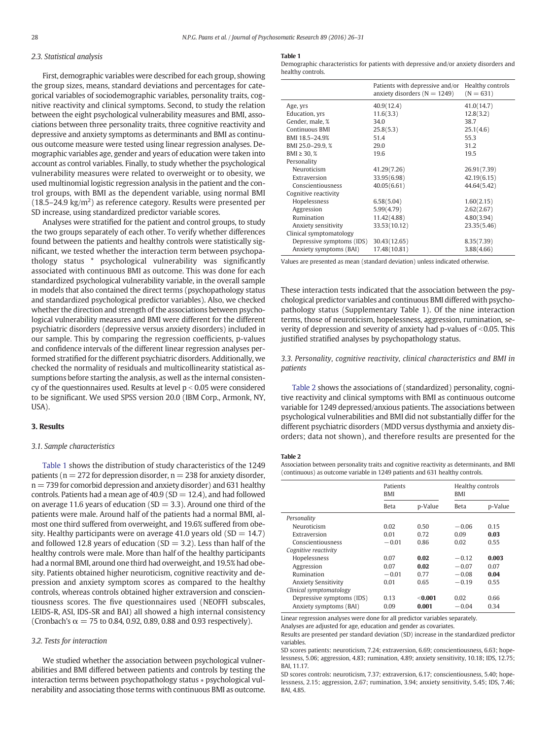# <span id="page-2-0"></span>2.3. Statistical analysis

First, demographic variables were described for each group, showing the group sizes, means, standard deviations and percentages for categorical variables of sociodemographic variables, personality traits, cognitive reactivity and clinical symptoms. Second, to study the relation between the eight psychological vulnerability measures and BMI, associations between three personality traits, three cognitive reactivity and depressive and anxiety symptoms as determinants and BMI as continuous outcome measure were tested using linear regression analyses. Demographic variables age, gender and years of education were taken into account as control variables. Finally, to study whether the psychological vulnerability measures were related to overweight or to obesity, we used multinomial logistic regression analysis in the patient and the control groups, with BMI as the dependent variable, using normal BMI  $(18.5-24.9 \text{ kg/m}^2)$  as reference category. Results were presented per SD increase, using standardized predictor variable scores.

Analyses were stratified for the patient and control groups, to study the two groups separately of each other. To verify whether differences found between the patients and healthy controls were statistically significant, we tested whether the interaction term between psychopathology status \* psychological vulnerability was significantly associated with continuous BMI as outcome. This was done for each standardized psychological vulnerability variable, in the overall sample in models that also contained the direct terms (psychopathology status and standardized psychological predictor variables). Also, we checked whether the direction and strength of the associations between psychological vulnerability measures and BMI were different for the different psychiatric disorders (depressive versus anxiety disorders) included in our sample. This by comparing the regression coefficients, p-values and confidence intervals of the different linear regression analyses performed stratified for the different psychiatric disorders. Additionally, we checked the normality of residuals and multicollinearity statistical assumptions before starting the analysis, as well as the internal consistency of the questionnaires used. Results at level  $p < 0.05$  were considered to be significant. We used SPSS version 20.0 (IBM Corp., Armonk, NY,  $IISA$ ).

# 3. Results

#### 3.1. Sample characteristics

Table 1 shows the distribution of study characteristics of the 1249 patients ( $n = 272$  for depression disorder,  $n = 238$  for anxiety disorder,  $n = 739$  for comorbid depression and anxiety disorder) and 631 healthy controls. Patients had a mean age of  $40.9$  (SD = 12.4), and had followed on average 11.6 years of education ( $SD = 3.3$ ). Around one third of the patients were male. Around half of the patients had a normal BMI, almost one third suffered from overweight, and 19.6% suffered from obesity. Healthy participants were on average 41.0 years old  $(SD = 14.7)$ and followed 12.8 years of education ( $SD = 3.2$ ). Less than half of the healthy controls were male. More than half of the healthy participants had a normal BMI, around one third had overweight, and 19.5% had obesity. Patients obtained higher neuroticism, cognitive reactivity and depression and anxiety symptom scores as compared to the healthy controls, whereas controls obtained higher extraversion and conscientiousness scores. The five questionnaires used (NEOFFI subscales, LEIDS-R, ASI, IDS-SR and BAI) all showed a high internal consistency (Cronbach's  $\alpha = 75$  to 0.84, 0.92, 0.89, 0.88 and 0.93 respectively).

# 3.2. Tests for interaction

We studied whether the association between psychological vulnerabilities and BMI differed between patients and controls by testing the interaction terms between psychopathology status ∗ psychological vulnerability and associating those terms with continuous BMI as outcome.

#### Table 1

Demographic characteristics for patients with depressive and/or anxiety disorders and healthy controls.

|                           | Patients with depressive and/or<br>anxiety disorders ( $N = 1249$ ) | Healthy controls<br>$(N = 631)$ |
|---------------------------|---------------------------------------------------------------------|---------------------------------|
| Age, yrs                  | 40.9(12.4)                                                          | 41.0(14.7)                      |
| Education, yrs            | 11.6(3.3)                                                           | 12.8(3.2)                       |
| Gender, male, %           | 34.0                                                                | 38.7                            |
| Continuous BMI            | 25.8(5.3)                                                           | 25.1(4.6)                       |
| BMI 18.5-24.9%            | 51.4                                                                | 55.3                            |
| BMI 25.0-29.9.%           | 29.0                                                                | 31.2                            |
| BMI ≥ 30, $%$             | 19.6                                                                | 19.5                            |
| Personality               |                                                                     |                                 |
| Neuroticism               | 41.29(7.26)                                                         | 26.91(7.39)                     |
| Extraversion              | 33.95(6.98)                                                         | 42.19(6.15)                     |
| Conscientiousness         | 40.05(6.61)                                                         | 44.64(5.42)                     |
| Cognitive reactivity      |                                                                     |                                 |
| Hopelessness              | 6.58(5.04)                                                          | 1.60(2.15)                      |
| Aggression                | 5.99(4.79)                                                          | 2.62(2.67)                      |
| Rumination                | 11.42(4.88)                                                         | 4.80(3.94)                      |
| Anxiety sensitivity       | 33.53(10.12)                                                        | 23.35(5.46)                     |
| Clinical symptomatology   |                                                                     |                                 |
| Depressive symptoms (IDS) | 30.43(12.65)                                                        | 8.35(7.39)                      |
| Anxiety symptoms (BAI)    | 17.48(10.81)                                                        | 3.88(4.66)                      |

Values are presented as mean (standard deviation) unless indicated otherwise.

These interaction tests indicated that the association between the psychological predictor variables and continuous BMI differed with psychopathology status (Supplementary Table 1). Of the nine interaction terms, those of neuroticism, hopelessness, aggression, rumination, severity of depression and severity of anxiety had p-values of  $<$  0.05. This justified stratified analyses by psychopathology status.

# 3.3. Personality, cognitive reactivity, clinical characteristics and BMI in patients

Table 2 shows the associations of (standardized) personality, cognitive reactivity and clinical symptoms with BMI as continuous outcome variable for 1249 depressed/anxious patients. The associations between psychological vulnerabilities and BMI did not substantially differ for the different psychiatric disorders (MDD versus dysthymia and anxiety disorders; data not shown), and therefore results are presented for the

#### Table 2

Association between personality traits and cognitive reactivity as determinants, and BMI (continuous) as outcome variable in 1249 patients and 631 healthy controls.

|                            | Patients<br>BMI |         | Healthy controls<br><b>BMI</b> |         |
|----------------------------|-----------------|---------|--------------------------------|---------|
|                            | <b>Beta</b>     | p-Value | Beta                           | p-Value |
| Personality                |                 |         |                                |         |
| Neuroticism                | 0.02            | 0.50    | $-0.06$                        | 0.15    |
| Extraversion               | 0.01            | 0.72    | 0.09                           | 0.03    |
| Conscientiousness          | $-0.01$         | 0.86    | 0.02                           | 0.55    |
| Cognitive reactivity       |                 |         |                                |         |
| Hopelessness               | 0.07            | 0.02    | $-0.12$                        | 0.003   |
| Aggression                 | 0.07            | 0.02    | $-0.07$                        | 0.07    |
| Rumination                 | $-0.01$         | 0.77    | $-0.08$                        | 0.04    |
| <b>Anxiety Sensitivity</b> | 0.01            | 0.65    | $-0.19$                        | 0.55    |
| Clinical symptomatology    |                 |         |                                |         |
| Depressive symptoms (IDS)  | 0.13            | < 0.001 | 0.02                           | 0.66    |
| Anxiety symptoms (BAI)     | 0.09            | 0.001   | $-0.04$                        | 0.34    |

Linear regression analyses were done for all predictor variables separately.

Analyses are adjusted for age, education and gender as covariates.

Results are presented per standard deviation (SD) increase in the standardized predictor variables.

SD scores patients: neuroticism, 7.24; extraversion, 6.69; conscientiousness, 6.63; hopelessness, 5.06; aggression, 4.83; rumination, 4.89; anxiety sensitivity, 10.18; IDS, 12.75; BAI, 11.17.

SD scores controls: neuroticism, 7.37; extraversion, 6.17; conscientiousness, 5.40; hopelessness, 2.15; aggression, 2.67; rumination, 3.94; anxiety sensitivity, 5.45; IDS, 7.46; BAI, 4.85.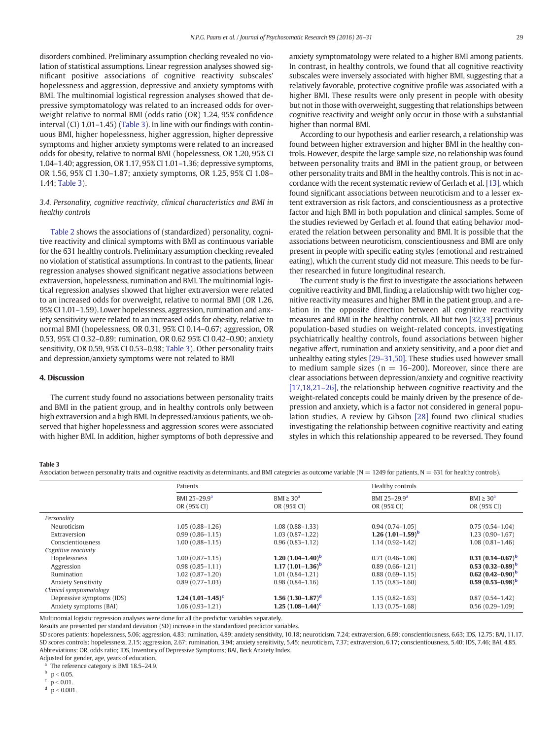disorders combined. Preliminary assumption checking revealed no violation of statistical assumptions. Linear regression analyses showed significant positive associations of cognitive reactivity subscales' hopelessness and aggression, depressive and anxiety symptoms with BMI. The multinomial logistical regression analyses showed that depressive symptomatology was related to an increased odds for overweight relative to normal BMI (odds ratio (OR) 1.24, 95% confidence interval (CI) 1.01–1.45) (Table 3). In line with our findings with continuous BMI, higher hopelessness, higher aggression, higher depressive symptoms and higher anxiety symptoms were related to an increased odds for obesity, relative to normal BMI (hopelessness, OR 1.20, 95% CI 1.04–1.40; aggression, OR 1.17, 95% CI 1.01–1.36; depressive symptoms, OR 1.56, 95% CI 1.30–1.87; anxiety symptoms, OR 1.25, 95% CI 1.08– 1.44; Table 3).

# 3.4. Personality, cognitive reactivity, clinical characteristics and BMI in healthy controls

[Table 2](#page-2-0) shows the associations of (standardized) personality, cognitive reactivity and clinical symptoms with BMI as continuous variable for the 631 healthy controls. Preliminary assumption checking revealed no violation of statistical assumptions. In contrast to the patients, linear regression analyses showed significant negative associations between extraversion, hopelessness, rumination and BMI. The multinomial logistical regression analyses showed that higher extraversion were related to an increased odds for overweight, relative to normal BMI (OR 1.26, 95% CI 1.01–1.59). Lower hopelessness, aggression, rumination and anxiety sensitivity were related to an increased odds for obesity, relative to normal BMI (hopelessness, OR 0.31, 95% CI 0.14–0.67; aggression, OR 0.53, 95% CI 0.32–0.89; rumination, OR 0.62 95% CI 0.42–0.90; anxiety sensitivity, OR 0.59, 95% CI 0.53–0.98; Table 3). Other personality traits and depression/anxiety symptoms were not related to BMI

# 4. Discussion

The current study found no associations between personality traits and BMI in the patient group, and in healthy controls only between high extraversion and a high BMI. In depressed/anxious patients, we observed that higher hopelessness and aggression scores were associated with higher BMI. In addition, higher symptoms of both depressive and anxiety symptomatology were related to a higher BMI among patients. In contrast, in healthy controls, we found that all cognitive reactivity subscales were inversely associated with higher BMI, suggesting that a relatively favorable, protective cognitive profile was associated with a higher BMI. These results were only present in people with obesity but not in those with overweight, suggesting that relationships between cognitive reactivity and weight only occur in those with a substantial higher than normal BMI.

According to our hypothesis and earlier research, a relationship was found between higher extraversion and higher BMI in the healthy controls. However, despite the large sample size, no relationship was found between personality traits and BMI in the patient group, or between other personality traits and BMI in the healthy controls. This is not in accordance with the recent systematic review of Gerlach et al. [\[13\],](#page-4-0) which found significant associations between neuroticism and to a lesser extent extraversion as risk factors, and conscientiousness as a protective factor and high BMI in both population and clinical samples. Some of the studies reviewed by Gerlach et al. found that eating behavior moderated the relation between personality and BMI. It is possible that the associations between neuroticism, conscientiousness and BMI are only present in people with specific eating styles (emotional and restrained eating), which the current study did not measure. This needs to be further researched in future longitudinal research.

The current study is the first to investigate the associations between cognitive reactivity and BMI, finding a relationship with two higher cognitive reactivity measures and higher BMI in the patient group, and a relation in the opposite direction between all cognitive reactivity measures and BMI in the healthy controls. All but two [\[32,33\]](#page-5-0) previous population-based studies on weight-related concepts, investigating psychiatrically healthy controls, found associations between higher negative affect, rumination and anxiety sensitivity, and a poor diet and unhealthy eating styles [29–[31,50\].](#page-5-0) These studies used however small to medium sample sizes ( $n = 16-200$ ). Moreover, since there are clear associations between depression/anxiety and cognitive reactivity [\[17,18,21](#page-4-0)-26], the relationship between cognitive reactivity and the weight-related concepts could be mainly driven by the presence of depression and anxiety, which is a factor not considered in general population studies. A review by Gibson [\[28\]](#page-5-0) found two clinical studies investigating the relationship between cognitive reactivity and eating styles in which this relationship appeared to be reversed. They found

#### Table 3

Association between personality traits and cognitive reactivity as determinants, and BMI categories as outcome variable ( $N = 1249$  for patients,  $N = 631$  for healthy controls).

|                            | Patients                                |                                | Healthy controls                        |                                |  |
|----------------------------|-----------------------------------------|--------------------------------|-----------------------------------------|--------------------------------|--|
|                            | BMI 25-29.9 <sup>a</sup><br>OR (95% CI) | $BMI \geq 30^a$<br>OR (95% CI) | BMI 25-29.9 <sup>a</sup><br>OR (95% CI) | $BMI \geq 30^a$<br>OR (95% CI) |  |
| Personality                |                                         |                                |                                         |                                |  |
| Neuroticism                | $1.05(0.88 - 1.26)$                     | $1.08(0.88 - 1.33)$            | $0.94(0.74 - 1.05)$                     | $0.75(0.54 - 1.04)$            |  |
| Extraversion               | $0.99(0.86 - 1.15)$                     | $1.03(0.87-1.22)$              | 1.26 $(1.01-1.59)^b$                    | $1,23(0.90-1.67)$              |  |
| Conscientiousness          | $1.00(0.88 - 1.15)$                     | $0.96(0.83 - 1.12)$            | $1.14(0.92 - 1.42)$                     | $1.08(0.81 - 1.46)$            |  |
| Cognitive reactivity       |                                         |                                |                                         |                                |  |
| Hopelessness               | $1.00(0.87 - 1.15)$                     | 1.20 $(1.04 - 1.40)^b$         | $0.71(0.46-1.08)$                       | $0.31(0.14-0.67)^b$            |  |
| Aggression                 | $0.98(0.85-1.11)$                       | 1.17 $(1.01-1.36)^b$           | $0.89(0.66 - 1.21)$                     | $0.53(0.32-0.89)^b$            |  |
| Rumination                 | $1.02(0.87-1.20)$                       | $1.01(0.84 - 1.21)$            | $0.88(0.69-1.15)$                       | $0.62(0.42-0.90)^b$            |  |
| <b>Anxiety Sensitivity</b> | $0.89(0.77-1.03)$                       | $0.98(0.84 - 1.16)$            | $1.15(0.83 - 1.60)$                     | $0.59(0.53-0.98)^b$            |  |
| Clinical symptomatology    |                                         |                                |                                         |                                |  |
| Depressive symptoms (IDS)  | $1.24$ (1.01-1.45) <sup>c</sup>         | $1.56(1.30-1.87)$ <sup>d</sup> | $1.15(0.82 - 1.63)$                     | $0.87(0.54 - 1.42)$            |  |
| Anxiety symptoms (BAI)     | $1.06(0.93 - 1.21)$                     | 1.25 $(1.08-1.44)^c$           | $1.13(0.75 - 1.68)$                     | $0.56(0.29-1.09)$              |  |

Multinomial logistic regression analyses were done for all the predictor variables separately.

Results are presented per standard deviation (SD) increase in the standardized predictor variables.

SD scores patients: hopelessness, 5.06; aggression, 4.83; rumination, 4.89; anxiety sensitivity, 10.18; neuroticism, 7.24; extraversion, 6.69; conscientiousness, 6.63; IDS, 12.75; BAI, 11.17. SD scores controls: hopelessness, 2.15; aggression, 2.67; rumination, 3.94; anxiety sensitivity, 5.45; neuroticism, 7.37; extraversion, 6.17; conscientiousness, 5.40; IDS, 7.46; BAI, 4.85. Abbreviations: OR, odds ratio; IDS, Inventory of Depressive Symptoms; BAI, Beck Anxiety Index.

Adjusted for gender, age, years of education. The reference category is BMI 18.5-24.9.

 $^{\rm b}$   $\,$  p  $<$  0.05.

 $p < 0.01$ .<br>d  $p < 0.00$ 

 $p < 0.001$ .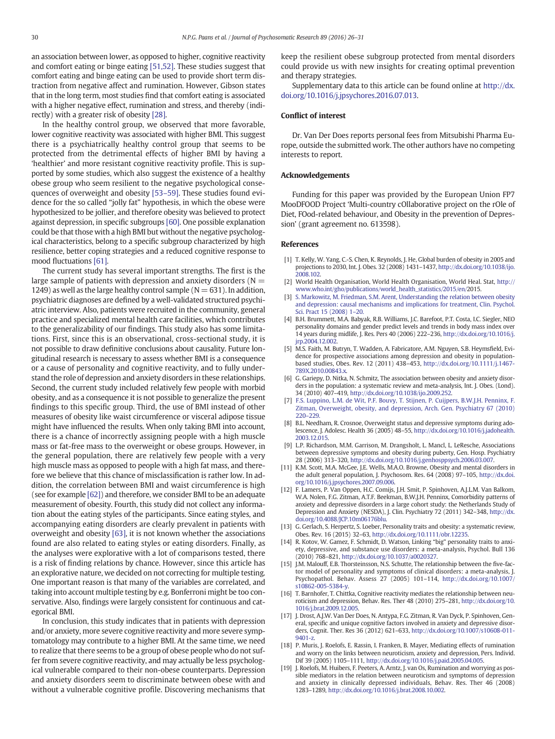<span id="page-4-0"></span>an association between lower, as opposed to higher, cognitive reactivity and comfort eating or binge eating [\[51,52\]](#page-5-0). These studies suggest that comfort eating and binge eating can be used to provide short term distraction from negative affect and rumination. However, Gibson states that in the long term, most studies find that comfort eating is associated with a higher negative effect, rumination and stress, and thereby (indirectly) with a greater risk of obesity [\[28\].](#page-5-0)

In the healthy control group, we observed that more favorable, lower cognitive reactivity was associated with higher BMI. This suggest there is a psychiatrically healthy control group that seems to be protected from the detrimental effects of higher BMI by having a 'healthier' and more resistant cognitive reactivity profile. This is supported by some studies, which also suggest the existence of a healthy obese group who seem resilient to the negative psychological consequences of overweight and obesity [53–[59\].](#page-5-0) These studies found evidence for the so called "jolly fat" hypothesis, in which the obese were hypothesized to be jollier, and therefore obesity was believed to protect against depression, in specific subgroups [\[60\].](#page-5-0) One possible explanation could be that those with a high BMI but without the negative psychological characteristics, belong to a specific subgroup characterized by high resilience, better coping strategies and a reduced cognitive response to mood fluctuations [\[61\].](#page-5-0)

The current study has several important strengths. The first is the large sample of patients with depression and anxiety disorders ( $N =$ 1249) as well as the large healthy control sample ( $N = 631$ ). In addition, psychiatric diagnoses are defined by a well-validated structured psychiatric interview. Also, patients were recruited in the community, general practice and specialized mental health care facilities, which contributes to the generalizability of our findings. This study also has some limitations. First, since this is an observational, cross-sectional study, it is not possible to draw definitive conclusions about causality. Future longitudinal research is necessary to assess whether BMI is a consequence or a cause of personality and cognitive reactivity, and to fully understand the role of depression and anxiety disorders in these relationships. Second, the current study included relatively few people with morbid obesity, and as a consequence it is not possible to generalize the present findings to this specific group. Third, the use of BMI instead of other measures of obesity like waist circumference or visceral adipose tissue might have influenced the results. When only taking BMI into account, there is a chance of incorrectly assigning people with a high muscle mass or fat-free mass to the overweight or obese groups. However, in the general population, there are relatively few people with a very high muscle mass as opposed to people with a high fat mass, and therefore we believe that this chance of misclassification is rather low. In addition, the correlation between BMI and waist circumference is high (see for example [\[62\]\)](#page-5-0) and therefore, we consider BMI to be an adequate measurement of obesity. Fourth, this study did not collect any information about the eating styles of the participants. Since eating styles, and accompanying eating disorders are clearly prevalent in patients with overweight and obesity [\[63\],](#page-5-0) it is not known whether the associations found are also related to eating styles or eating disorders. Finally, as the analyses were explorative with a lot of comparisons tested, there is a risk of finding relations by chance. However, since this article has an explorative nature, we decided on not correcting for multiple testing. One important reason is that many of the variables are correlated, and taking into account multiple testing by e.g. Bonferroni might be too conservative. Also, findings were largely consistent for continuous and categorical BMI.

In conclusion, this study indicates that in patients with depression and/or anxiety, more severe cognitive reactivity and more severe symptomatology may contribute to a higher BMI. At the same time, we need to realize that there seems to be a group of obese people who do not suffer from severe cognitive reactivity, and may actually be less psychological vulnerable compared to their non-obese counterparts. Depression and anxiety disorders seem to discriminate between obese with and without a vulnerable cognitive profile. Discovering mechanisms that keep the resilient obese subgroup protected from mental disorders could provide us with new insights for creating optimal prevention and therapy strategies.

Supplementary data to this article can be found online at [http://dx.](doi:10.1016/j.jpsychores.2016.07.013) [doi.org/10.1016/j.jpsychores.2016.07.013](doi:10.1016/j.jpsychores.2016.07.013).

## Conflict of interest

Dr. Van Der Does reports personal fees from Mitsubishi Pharma Europe, outside the submitted work. The other authors have no competing interests to report.

#### Acknowledgements

Funding for this paper was provided by the European Union FP7 MooDFOOD Project 'Multi-country cOllaborative project on the rOle of Diet, FOod-related behaviour, and Obesity in the prevention of Depression' (grant agreement no. 613598).

#### References

- [1] T. Kelly, W. Yang, C.-S. Chen, K. Reynolds, J. He, Global burden of obesity in 2005 and projections to 2030, Int. J. Obes. 32 (2008) 1431–1437, http://dx.doi.org[/10.1038/ijo.](http://dx.doi.org/10.1038/ijo.2008.102) [2008.102](http://dx.doi.org/10.1038/ijo.2008.102).
- [2] World Health Organisation, World Health Organisation, World Heal. Stat, [http://](http://www.who.int/gho/publications/world_health_statistics/2015/en/) [www.who.int/gho/publications/world\\_health\\_statistics/2015/en/](http://www.who.int/gho/publications/world_health_statistics/2015/en/)2015.
- [3] [S. Markowitz, M. Friedman, S.M. Arent, Understanding the relation between obesity](http://refhub.elsevier.com/S0022-3999(16)30354-3/rf0015) [and depression: causal mechanisms and implications for treatment, Clin. Psychol.](http://refhub.elsevier.com/S0022-3999(16)30354-3/rf0015) [Sci. Pract 15 \(2008\) 1](http://refhub.elsevier.com/S0022-3999(16)30354-3/rf0015)–20.
- [4] B.H. Brummett, M.A. Babyak, R.B. Williams, J.C. Barefoot, P.T. Costa, I.C. Siegler, NEO personality domains and gender predict levels and trends in body mass index over 14 years during midlife, J. Res. Pers 40 (2006) 222–236, http://dx.doi.org/[10.1016/j.](http://dx.doi.org/10.1016/j.jrp.2004.12.002) [jrp.2004.12.002](http://dx.doi.org/10.1016/j.jrp.2004.12.002).
- [5] M.S. Faith, M. Butryn, T. Wadden, A. Fabricatore, A.M. Nguyen, S.B. Heymsfield, Evidence for prospective associations among depression and obesity in populationbased studies, Obes. Rev. 12 (2011) 438–453, http://dx.doi.org/[10.1111/j.1467-](http://dx.doi.org/10.1111/j.1467-789X.2010.00843.x) [789X.2010.00843.x](http://dx.doi.org/10.1111/j.1467-789X.2010.00843.x).
- [6] G. Gariepy, D. Nitka, N. Schmitz, The association between obesity and anxiety disorders in the population: a systematic review and meta-analysis, Int. J. Obes. (Lond). 34 (2010) 407–419, http://dx.doi.org/[10.1038/ijo.2009.252](http://dx.doi.org/10.1038/ijo.2009.252).
- [7] [F.S. Luppino, L.M. de Wit, P.F. Bouvy, T. Stijnen, P. Cuijpers, B.W.J.H. Penninx, F.](http://refhub.elsevier.com/S0022-3999(16)30354-3/rf0035) [Zitman, Overweight, obesity, and depression, Arch. Gen. Psychiatry 67 \(2010\)](http://refhub.elsevier.com/S0022-3999(16)30354-3/rf0035) [220](http://refhub.elsevier.com/S0022-3999(16)30354-3/rf0035)–229.
- [8] B.L. Needham, R. Crosnoe, Overweight status and depressive symptoms during adolescence, J. Adolesc. Health 36 (2005) 48–55, http://dx.doi.org[/10.1016/j.jadohealth.](http://dx.doi.org/10.1016/j.jadohealth.2003.12.015) [2003.12.015.](http://dx.doi.org/10.1016/j.jadohealth.2003.12.015)
- [9] L.P. Richardson, M.M. Garrison, M. Drangsholt, L. Mancl, L. LeResche, Associations between depressive symptoms and obesity during puberty, Gen. Hosp. Psychiatry 28 (2006) 313–320, http://dx.doi.org[/10.1016/j.genhosppsych.2006.03.007](http://dx.doi.org/10.1016/j.genhosppsych.2006.03.007).
- [11] K.M. Scott, M.A. McGee, J.E. Wells, M.A.O. Browne, Obesity and mental disorders in the adult general population, J. Psychosom. Res. 64 (2008) 97–105, http://dx.doi. org/[10.1016/j.jpsychores.2007.09.006](http://dx.doi.org/10.1016/j.jpsychores.2007.09.006).
- [12] F. Lamers, P. Van Oppen, H.C. Comijs, J.H. Smit, P. Spinhoven, A.J.L.M. Van Balkom, W.A. Nolen, F.G. Zitman, A.T.F. Beekman, B.W.J.H. Penninx, Comorbidity patterns of anxiety and depressive disorders in a large cohort study: the Netherlands Study of Depression and Anxiety (NESDA), J. Clin. Psychiatry 72 (2011) 342–348, http://dx. doi.org[/10.4088/JCP.10m06176blu](http://dx.doi.org/10.4088/JCP.10m06176blu).
- [13] G. Gerlach, S. Herpertz, S. Loeber, Personality traits and obesity: a systematic review, Obes. Rev. 16 (2015) 32–63, http://dx.doi.org[/10.1111/obr.12235](http://dx.doi.org/10.1111/obr.12235).
- [14] R. Kotov, W. Gamez, F. Schmidt, D. Watson, Linking "big" personality traits to anxiety, depressive, and substance use disorders: a meta-analysis, Psychol. Bull 136 (2010) 768–821, http://dx.doi.org/[10.1037/a0020327.](http://dx.doi.org/10.1037/a0020327)
- [15] J.M. Malouff, E.B. Thorsteinsson, N.S. Schutte, The relationship between the five-factor model of personality and symptoms of clinical disorders: a meta-analysis, J. Psychopathol. Behav. Assess 27 (2005) 101–114, http://dx.doi.org/[10.1007/](http://dx.doi.org/10.1007/s10862-005-5384-y) [s10862-005-5384-y](http://dx.doi.org/10.1007/s10862-005-5384-y).
- [16] T. Barnhofer, T. Chittka, Cognitive reactivity mediates the relationship between neuroticism and depression, Behav. Res. Ther 48 (2010) 275–281, http://dx.doi.org[/10.](http://dx.doi.org/10.1016/j.brat.2009.12.005) [1016/j.brat.2009.12.005](http://dx.doi.org/10.1016/j.brat.2009.12.005).
- [17] J. Drost, A.J.W. Van Der Does, N. Antypa, F.G. Zitman, R. Van Dyck, P. Spinhoven, General, specific and unique cognitive factors involved in anxiety and depressive disorders, Cognit. Ther. Res 36 (2012) 621–633, http://dx.doi.org[/10.1007/s10608-011-](http://dx.doi.org/10.1007/s10608-011-9401-z) [9401-z.](http://dx.doi.org/10.1007/s10608-011-9401-z)
- [18] P. Muris, J. Roelofs, E. Rassin, I. Franken, B. Mayer, Mediating effects of rumination and worry on the links between neuroticism, anxiety and depression, Pers. Individ. Dif 39 (2005) 1105–1111, http://dx.doi.org[/10.1016/j.paid.2005.04.005](http://dx.doi.org/10.1016/j.paid.2005.04.005).
- [19] J. Roelofs, M. Huibers, F. Peeters, A. Arntz, J. van Os, Rumination and worrying as possible mediators in the relation between neuroticism and symptoms of depression and anxiety in clinically depressed individuals, Behav. Res. Ther 46 (2008) 1283–1289, http://dx.doi.org[/10.1016/j.brat.2008.10.002.](http://dx.doi.org/10.1016/j.brat.2008.10.002)